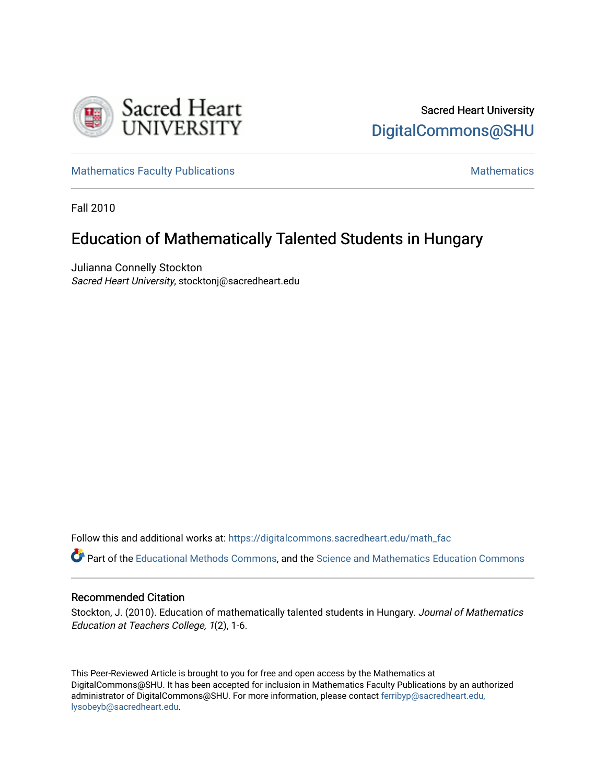

[Mathematics Faculty Publications](https://digitalcommons.sacredheart.edu/math_fac) [Mathematics](https://digitalcommons.sacredheart.edu/math) Mathematics Mathematics

Fall 2010

# Education of Mathematically Talented Students in Hungary

Julianna Connelly Stockton Sacred Heart University, stocktonj@sacredheart.edu

Follow this and additional works at: [https://digitalcommons.sacredheart.edu/math\\_fac](https://digitalcommons.sacredheart.edu/math_fac?utm_source=digitalcommons.sacredheart.edu%2Fmath_fac%2F46&utm_medium=PDF&utm_campaign=PDFCoverPages) 

Part of the [Educational Methods Commons,](http://network.bepress.com/hgg/discipline/1227?utm_source=digitalcommons.sacredheart.edu%2Fmath_fac%2F46&utm_medium=PDF&utm_campaign=PDFCoverPages) and the [Science and Mathematics Education Commons](http://network.bepress.com/hgg/discipline/800?utm_source=digitalcommons.sacredheart.edu%2Fmath_fac%2F46&utm_medium=PDF&utm_campaign=PDFCoverPages)

# Recommended Citation

Stockton, J. (2010). Education of mathematically talented students in Hungary. Journal of Mathematics Education at Teachers College, 1(2), 1-6.

This Peer-Reviewed Article is brought to you for free and open access by the Mathematics at DigitalCommons@SHU. It has been accepted for inclusion in Mathematics Faculty Publications by an authorized administrator of DigitalCommons@SHU. For more information, please contact [ferribyp@sacredheart.edu,](mailto:ferribyp@sacredheart.edu,%20lysobeyb@sacredheart.edu) [lysobeyb@sacredheart.edu](mailto:ferribyp@sacredheart.edu,%20lysobeyb@sacredheart.edu).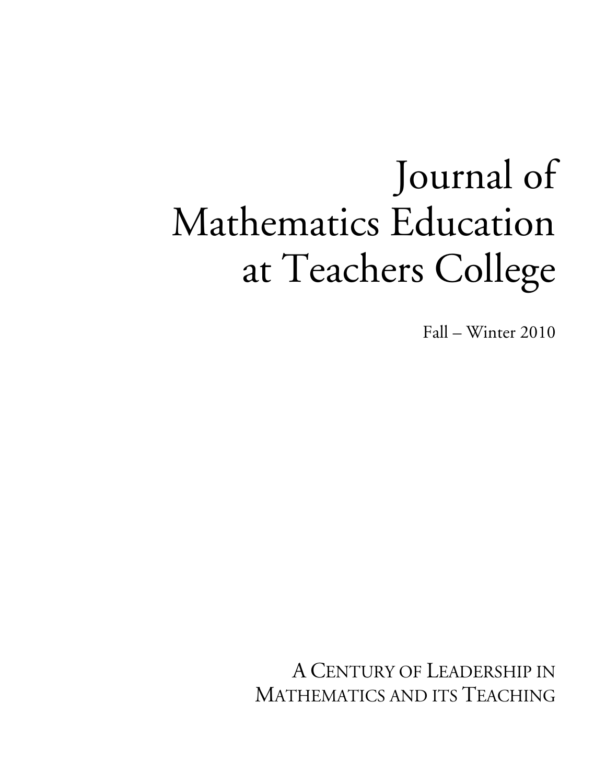# Journal of Mathematics Education at Teachers College

Fall – Winter 2010

A CENTURY OF LEADERSHIP IN MATHEMATICS AND ITS TEACHING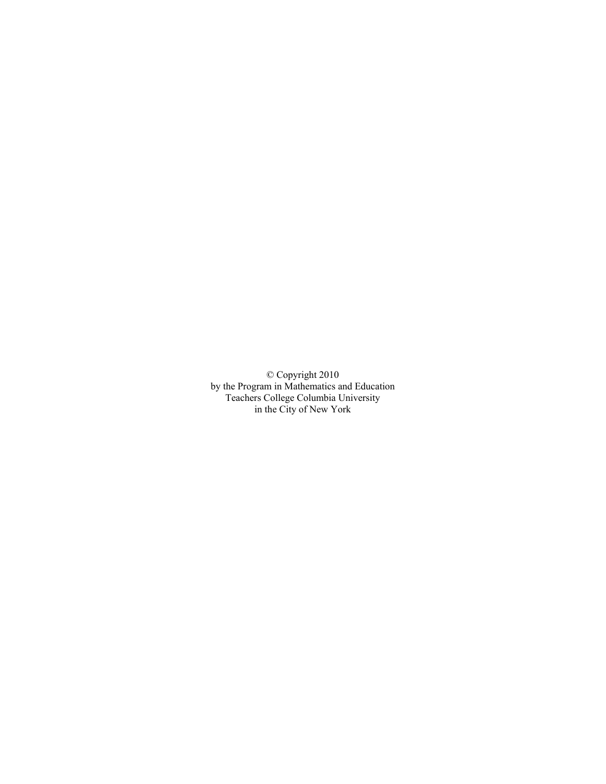© Copyright 2010 by the Program in Mathematics and Education Teachers College Columbia University in the City of New York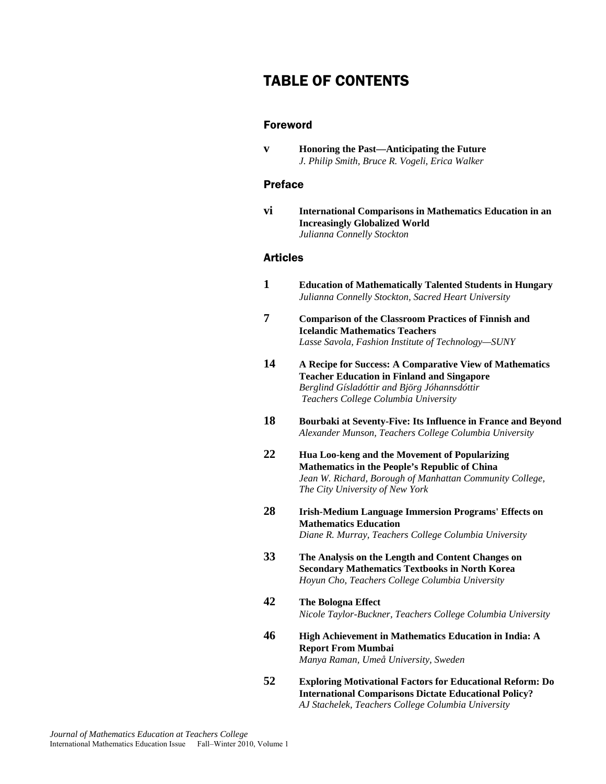# TABLE OF CONTENTS

## Foreword

**v Honoring the Past—Anticipating the Future**  *J. Philip Smith, Bruce R. Vogeli, Erica Walker* 

## Preface

**vi International Comparisons in Mathematics Education in an Increasingly Globalized World**  *Julianna Connelly Stockton* 

# Articles

- **1 Education of Mathematically Talented Students in Hungary**  *Julianna Connelly Stockton, Sacred Heart University* **7 Comparison of the Classroom Practices of Finnish and Icelandic Mathematics Teachers**  *Lasse Savola, Fashion Institute of Technology—SUNY*
- **14 A Recipe for Success: A Comparative View of Mathematics Teacher Education in Finland and Singapore**  *Berglind Gísladóttir and Björg Jóhannsdóttir Teachers College Columbia University*
- **18 Bourbaki at Seventy-Five: Its Influence in France and Beyond**  *Alexander Munson, Teachers College Columbia University*
- **22 Hua Loo-keng and the Movement of Popularizing Mathematics in the People's Republic of China**  *Jean W. Richard, Borough of Manhattan Community College, The City University of New York*
- **28 Irish-Medium Language Immersion Programs' Effects on Mathematics Education**  *Diane R. Murray, Teachers College Columbia University*
- **33 The Analysis on the Length and Content Changes on Secondary Mathematics Textbooks in North Korea**  *Hoyun Cho, Teachers College Columbia University*
- **42 The Bologna Effect**  *Nicole Taylor-Buckner, Teachers College Columbia University*
- **46 High Achievement in Mathematics Education in India: A Report From Mumbai**  *Manya Raman, Umeå University, Sweden*
- **52 Exploring Motivational Factors for Educational Reform: Do International Comparisons Dictate Educational Policy?**  *AJ Stachelek, Teachers College Columbia University*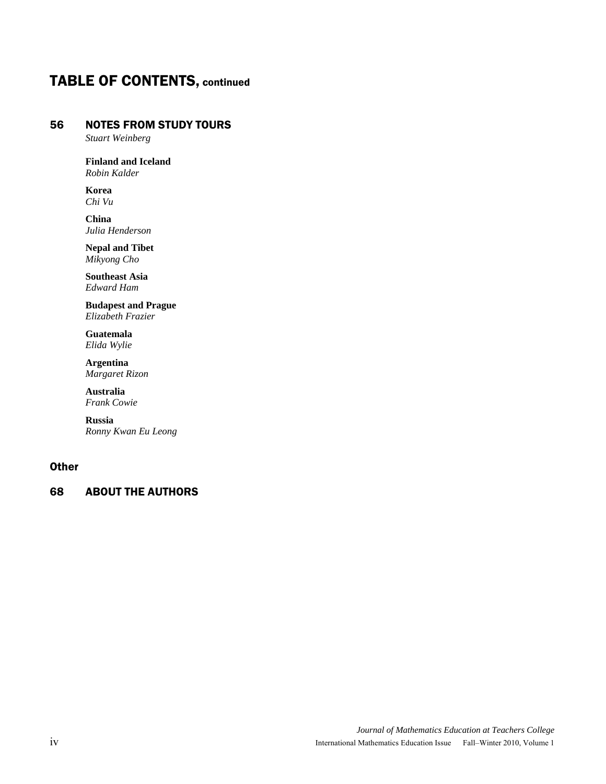# TABLE OF CONTENTS, continued

# 56 NOTES FROM STUDY TOURS

*Stuart Weinberg* 

**Finland and Iceland**  *Robin Kalder* 

 **Korea**  *Chi Vu* 

 **China**  *Julia Henderson* 

 **Nepal and Tibet**  *Mikyong Cho* 

 **Southeast Asia**  *Edward Ham* 

 **Budapest and Prague**  *Elizabeth Frazier* 

 **Guatemala**  *Elida Wylie* 

 **Argentina**  *Margaret Rizon* 

 **Australia**  *Frank Cowie*

 **Russia**  *Ronny Kwan Eu Leong* 

# **Other**

# 68 ABOUT THE AUTHORS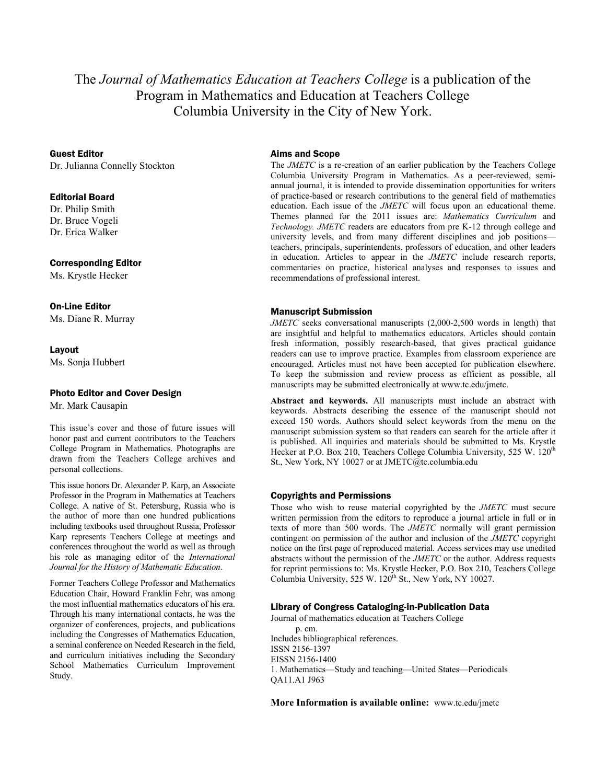# The *Journal of Mathematics Education at Teachers College* is a publication of the Program in Mathematics and Education at Teachers College Columbia University in the City of New York.

Guest Editor

Dr. Julianna Connelly Stockton

## Editorial Board

Dr. Philip Smith Dr. Bruce Vogeli Dr. Erica Walker

#### Corresponding Editor

Ms. Krystle Hecker

#### On-Line Editor

Ms. Diane R. Murray

#### Layout

Ms. Sonja Hubbert

#### Photo Editor and Cover Design

Mr. Mark Causapin

This issue's cover and those of future issues will honor past and current contributors to the Teachers College Program in Mathematics. Photographs are drawn from the Teachers College archives and personal collections.

This issue honors Dr. Alexander P. Karp, an Associate Professor in the Program in Mathematics at Teachers College. A native of St. Petersburg, Russia who is the author of more than one hundred publications including textbooks used throughout Russia, Professor Karp represents Teachers College at meetings and conferences throughout the world as well as through his role as managing editor of the *International Journal for the History of Mathematic Education*.

Former Teachers College Professor and Mathematics Education Chair, Howard Franklin Fehr, was among the most influential mathematics educators of his era. Through his many international contacts, he was the organizer of conferences, projects, and publications including the Congresses of Mathematics Education, a seminal conference on Needed Research in the field, and curriculum initiatives including the Secondary School Mathematics Curriculum Improvement Study.

#### Aims and Scope

The *JMETC* is a re-creation of an earlier publication by the Teachers College Columbia University Program in Mathematics. As a peer-reviewed, semiannual journal, it is intended to provide dissemination opportunities for writers of practice-based or research contributions to the general field of mathematics education. Each issue of the *JMETC* will focus upon an educational theme. Themes planned for the 2011 issues are: *Mathematics Curriculum* and *Technology. JMETC* readers are educators from pre K-12 through college and university levels, and from many different disciplines and job positions teachers, principals, superintendents, professors of education, and other leaders in education. Articles to appear in the *JMETC* include research reports, commentaries on practice, historical analyses and responses to issues and recommendations of professional interest.

#### Manuscript Submission

*JMETC* seeks conversational manuscripts (2,000-2,500 words in length) that are insightful and helpful to mathematics educators. Articles should contain fresh information, possibly research-based, that gives practical guidance readers can use to improve practice. Examples from classroom experience are encouraged. Articles must not have been accepted for publication elsewhere. To keep the submission and review process as efficient as possible, all manuscripts may be submitted electronically at www.tc.edu/jmetc.

**Abstract and keywords.** All manuscripts must include an abstract with keywords. Abstracts describing the essence of the manuscript should not exceed 150 words. Authors should select keywords from the menu on the manuscript submission system so that readers can search for the article after it is published. All inquiries and materials should be submitted to Ms. Krystle Hecker at P.O. Box 210, Teachers College Columbia University, 525 W. 120<sup>th</sup> St., New York, NY 10027 or at JMETC@tc.columbia.edu

#### Copyrights and Permissions

Those who wish to reuse material copyrighted by the *JMETC* must secure written permission from the editors to reproduce a journal article in full or in texts of more than 500 words. The *JMETC* normally will grant permission contingent on permission of the author and inclusion of the *JMETC* copyright notice on the first page of reproduced material. Access services may use unedited abstracts without the permission of the *JMETC* or the author. Address requests for reprint permissions to: Ms. Krystle Hecker, P.O. Box 210, Teachers College Columbia University,  $525$  W.  $120^{th}$  St., New York, NY 10027.

#### Library of Congress Cataloging-in-Publication Data

Journal of mathematics education at Teachers College p. cm. Includes bibliographical references. ISSN 2156-1397 EISSN 2156-1400 1. Mathematics—Study and teaching—United States—Periodicals QA11.A1 J963

**More Information is available online:** www.tc.edu/jmetc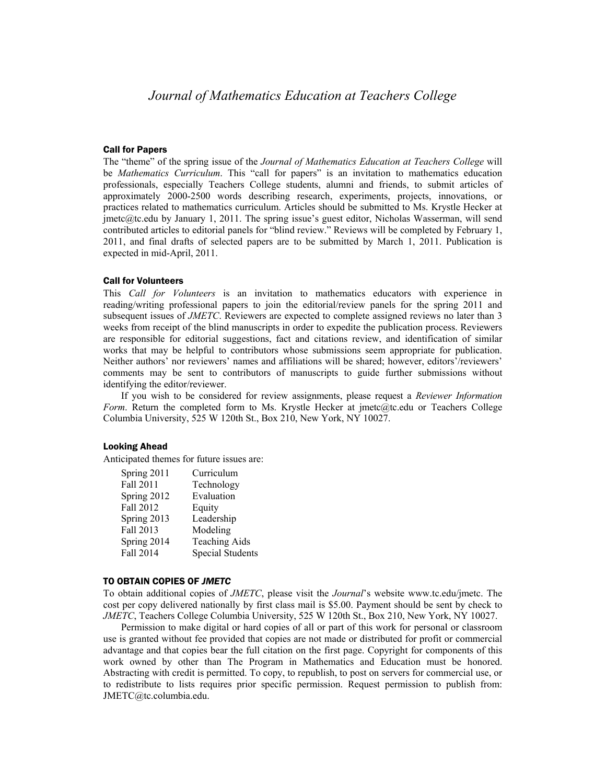#### Call for Papers

The "theme" of the spring issue of the *Journal of Mathematics Education at Teachers College* will be *Mathematics Curriculum*. This "call for papers" is an invitation to mathematics education professionals, especially Teachers College students, alumni and friends, to submit articles of approximately 2000-2500 words describing research, experiments, projects, innovations, or practices related to mathematics curriculum. Articles should be submitted to Ms. Krystle Hecker at jmetc@tc.edu by January 1, 2011. The spring issue's guest editor, Nicholas Wasserman, will send contributed articles to editorial panels for "blind review." Reviews will be completed by February 1, 2011, and final drafts of selected papers are to be submitted by March 1, 2011. Publication is expected in mid-April, 2011.

#### Call for Volunteers

This *Call for Volunteers* is an invitation to mathematics educators with experience in reading/writing professional papers to join the editorial/review panels for the spring 2011 and subsequent issues of *JMETC*. Reviewers are expected to complete assigned reviews no later than 3 weeks from receipt of the blind manuscripts in order to expedite the publication process. Reviewers are responsible for editorial suggestions, fact and citations review, and identification of similar works that may be helpful to contributors whose submissions seem appropriate for publication. Neither authors' nor reviewers' names and affiliations will be shared; however, editors'/reviewers' comments may be sent to contributors of manuscripts to guide further submissions without identifying the editor/reviewer.

If you wish to be considered for review assignments, please request a *Reviewer Information Form*. Return the completed form to Ms. Krystle Hecker at jmetc@tc.edu or Teachers College Columbia University, 525 W 120th St., Box 210, New York, NY 10027.

#### Looking Ahead

Anticipated themes for future issues are:

| Spring 2011 | Curriculum              |
|-------------|-------------------------|
| Fall 2011   | Technology              |
| Spring 2012 | Evaluation              |
| Fall 2012   | Equity                  |
| Spring 2013 | Leadership              |
| Fall 2013   | Modeling                |
| Spring 2014 | <b>Teaching Aids</b>    |
| Fall 2014   | <b>Special Students</b> |

#### TO OBTAIN COPIES OF *JMETC*

To obtain additional copies of *JMETC*, please visit the *Journal*'s website www.tc.edu/jmetc. The cost per copy delivered nationally by first class mail is \$5.00. Payment should be sent by check to *JMETC*, Teachers College Columbia University, 525 W 120th St., Box 210, New York, NY 10027.

Permission to make digital or hard copies of all or part of this work for personal or classroom use is granted without fee provided that copies are not made or distributed for profit or commercial advantage and that copies bear the full citation on the first page. Copyright for components of this work owned by other than The Program in Mathematics and Education must be honored. Abstracting with credit is permitted. To copy, to republish, to post on servers for commercial use, or to redistribute to lists requires prior specific permission. Request permission to publish from: JMETC@tc.columbia.edu.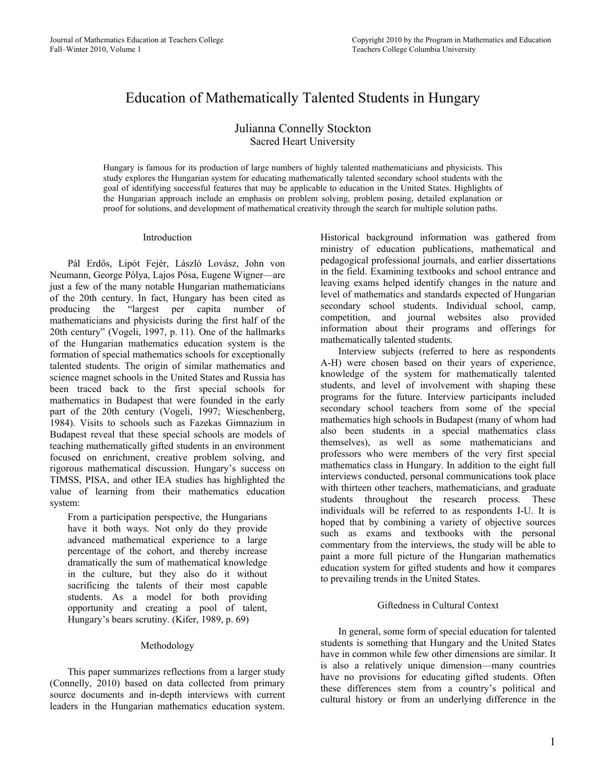# Education of Mathematically Talented Students in Hungary

# Julianna Connelly Stockton Sacred Heart University

Hungary is famous for its production of large numbers of highly talented mathematicians and physicists. This study explores the Hungarian system for educating mathematically talented secondary school students with the goal of identifying successful features that may be applicable to education in the United States. Highlights of the Hungarian approach include an emphasis on problem solving, problem posing, detailed explanation or proof for solutions, and development of mathematical creativity through the search for multiple solution paths.

## Introduction

Pál Erdős, Lipót Fejér, László Lovász, John von Neumann, George Pólya, Lajos Pósa, Eugene Wigner—are just a few of the many notable Hungarian mathematicians of the 20th century. In fact, Hungary has been cited as producing the "largest per capita number of mathematicians and physicists during the first half of the 20th century" (Vogeli, 1997, p. 11). One of the hallmarks of the Hungarian mathematics education system is the formation of special mathematics schools for exceptionally talented students. The origin of similar mathematics and science magnet schools in the United States and Russia has been traced back to the first special schools for mathematics in Budapest that were founded in the early part of the 20th century (Vogeli, 1997; Wieschenberg, 1984). Visits to schools such as Fazekas Gimnazium in Budapest reveal that these special schools are models of teaching mathematically gifted students in an environment focused on enrichment, creative problem solving, and rigorous mathematical discussion. Hungary's success on TIMSS, PISA, and other IEA studies has highlighted the value of learning from their mathematics education system:

From a participation perspective, the Hungarians have it both ways. Not only do they provide advanced mathematical experience to a large percentage of the cohort, and thereby increase dramatically the sum of mathematical knowledge in the culture, but they also do it without sacrificing the talents of their most capable students. As a model for both providing opportunity and creating a pool of talent, Hungary's bears scrutiny. (Kifer, 1989, p. 69)

## Methodology

This paper summarizes reflections from a larger study (Connelly, 2010) based on data collected from primary source documents and in-depth interviews with current leaders in the Hungarian mathematics education system.

Historical background information was gathered from ministry of education publications, mathematical and pedagogical professional journals, and earlier dissertations in the field. Examining textbooks and school entrance and leaving exams helped identify changes in the nature and level of mathematics and standards expected of Hungarian secondary school students. Individual school, camp, competition, and journal websites also provided information about their programs and offerings for mathematically talented students.

Interview subjects (referred to here as respondents A-H) were chosen based on their years of experience, knowledge of the system for mathematically talented students, and level of involvement with shaping these programs for the future. Interview participants included secondary school teachers from some of the special mathematics high schools in Budapest (many of whom had also been students in a special mathematics class themselves), as well as some mathematicians and professors who were members of the very first special mathematics class in Hungary. In addition to the eight full interviews conducted, personal communications took place with thirteen other teachers, mathematicians, and graduate students throughout the research process. These individuals will be referred to as respondents I-U. It is hoped that by combining a variety of objective sources such as exams and textbooks with the personal commentary from the interviews, the study will be able to paint a more full picture of the Hungarian mathematics education system for gifted students and how it compares to prevailing trends in the United States.

## Giftedness in Cultural Context

In general, some form of special education for talented students is something that Hungary and the United States have in common while few other dimensions are similar. It is also a relatively unique dimension—many countries have no provisions for educating gifted students. Often these differences stem from a country's political and cultural history or from an underlying difference in the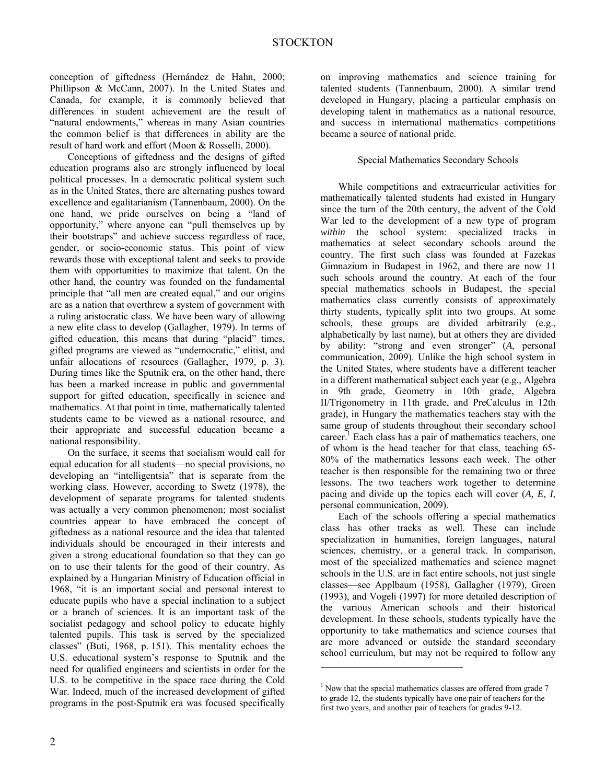conception of giftedness (Hernández de Hahn, 2000; Phillipson & McCann, 2007). In the United States and Canada, for example, it is commonly believed that differences in student achievement are the result of "natural endowments," whereas in many Asian countries the common belief is that differences in ability are the result of hard work and effort (Moon & Rosselli, 2000).

Conceptions of giftedness and the designs of gifted education programs also are strongly influenced by local political processes. In a democratic political system such as in the United States, there are alternating pushes toward excellence and egalitarianism (Tannenbaum, 2000). On the one hand, we pride ourselves on being a "land of opportunity," where anyone can "pull themselves up by their bootstraps" and achieve success regardless of race, gender, or socio-economic status. This point of view rewards those with exceptional talent and seeks to provide them with opportunities to maximize that talent. On the other hand, the country was founded on the fundamental principle that "all men are created equal," and our origins are as a nation that overthrew a system of government with a ruling aristocratic class. We have been wary of allowing a new elite class to develop (Gallagher, 1979). In terms of gifted education, this means that during "placid" times, gifted programs are viewed as "undemocratic," elitist, and unfair allocations of resources (Gallagher, 1979, p. 3). During times like the Sputnik era, on the other hand, there has been a marked increase in public and governmental support for gifted education, specifically in science and mathematics. At that point in time, mathematically talented students came to be viewed as a national resource, and their appropriate and successful education became a national responsibility.

On the surface, it seems that socialism would call for equal education for all students—no special provisions, no developing an "intelligentsia" that is separate from the working class. However, according to Swetz (1978), the development of separate programs for talented students was actually a very common phenomenon; most socialist countries appear to have embraced the concept of giftedness as a national resource and the idea that talented individuals should be encouraged in their interests and given a strong educational foundation so that they can go on to use their talents for the good of their country. As explained by a Hungarian Ministry of Education official in 1968, "it is an important social and personal interest to educate pupils who have a special inclination to a subject or a branch of sciences. It is an important task of the socialist pedagogy and school policy to educate highly talented pupils. This task is served by the specialized classes" (Buti, 1968, p. 151). This mentality echoes the U.S. educational system's response to Sputnik and the need for qualified engineers and scientists in order for the U.S. to be competitive in the space race during the Cold War. Indeed, much of the increased development of gifted programs in the post-Sputnik era was focused specifically

on improving mathematics and science training for talented students (Tannenbaum, 2000). A similar trend developed in Hungary, placing a particular emphasis on developing talent in mathematics as a national resource, and success in international mathematics competitions became a source of national pride.

## Special Mathematics Secondary Schools

While competitions and extracurricular activities for mathematically talented students had existed in Hungary since the turn of the 20th century, the advent of the Cold War led to the development of a new type of program *within* the school system: specialized tracks in mathematics at select secondary schools around the country. The first such class was founded at Fazekas Gimnazium in Budapest in 1962, and there are now 11 such schools around the country. At each of the four special mathematics schools in Budapest, the special mathematics class currently consists of approximately thirty students, typically split into two groups. At some schools, these groups are divided arbitrarily (e.g., alphabetically by last name), but at others they are divided by ability: "strong and even stronger" (*A*, personal communication, 2009). Unlike the high school system in the United States, where students have a different teacher in a different mathematical subject each year (e.g., Algebra in 9th grade, Geometry in 10th grade, Algebra II/Trigonometry in 11th grade, and PreCalculus in 12th grade), in Hungary the mathematics teachers stay with the same group of students throughout their secondary school career.<sup>1</sup> Each class has a pair of mathematics teachers, one of whom is the head teacher for that class, teaching 65- 80% of the mathematics lessons each week. The other teacher is then responsible for the remaining two or three lessons. The two teachers work together to determine pacing and divide up the topics each will cover (*A, E, I*, personal communication, 2009).

Each of the schools offering a special mathematics class has other tracks as well. These can include specialization in humanities, foreign languages, natural sciences, chemistry, or a general track. In comparison, most of the specialized mathematics and science magnet schools in the U.S. are in fact entire schools, not just single classes—see Applbaum (1958), Gallagher (1979), Green (1993), and Vogeli (1997) for more detailed description of the various American schools and their historical development. In these schools, students typically have the opportunity to take mathematics and science courses that are more advanced or outside the standard secondary school curriculum, but may not be required to follow any

-

<sup>&</sup>lt;sup>1</sup> Now that the special mathematics classes are offered from grade 7 to grade 12, the students typically have one pair of teachers for the first two years, and another pair of teachers for grades 9-12.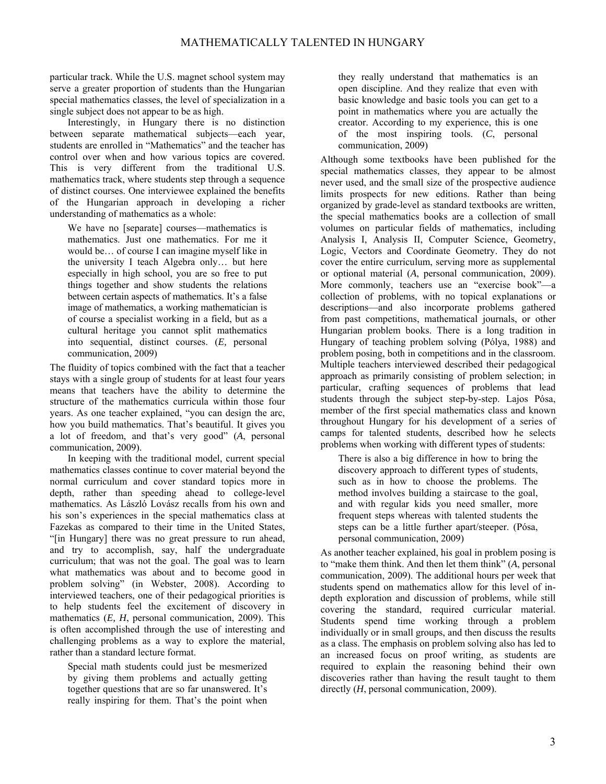particular track. While the U.S. magnet school system may serve a greater proportion of students than the Hungarian special mathematics classes, the level of specialization in a single subject does not appear to be as high.

Interestingly, in Hungary there is no distinction between separate mathematical subjects—each year, students are enrolled in "Mathematics" and the teacher has control over when and how various topics are covered. This is very different from the traditional U.S. mathematics track, where students step through a sequence of distinct courses. One interviewee explained the benefits of the Hungarian approach in developing a richer understanding of mathematics as a whole:

We have no [separate] courses—mathematics is mathematics. Just one mathematics. For me it would be… of course I can imagine myself like in the university I teach Algebra only… but here especially in high school, you are so free to put things together and show students the relations between certain aspects of mathematics. It's a false image of mathematics, a working mathematician is of course a specialist working in a field, but as a cultural heritage you cannot split mathematics into sequential, distinct courses. (*E,* personal communication, 2009)

The fluidity of topics combined with the fact that a teacher stays with a single group of students for at least four years means that teachers have the ability to determine the structure of the mathematics curricula within those four years. As one teacher explained, "you can design the arc, how you build mathematics. That's beautiful. It gives you a lot of freedom, and that's very good" (*A*, personal communication, 2009).

In keeping with the traditional model, current special mathematics classes continue to cover material beyond the normal curriculum and cover standard topics more in depth, rather than speeding ahead to college-level mathematics. As László Lovász recalls from his own and his son's experiences in the special mathematics class at Fazekas as compared to their time in the United States, "[in Hungary] there was no great pressure to run ahead, and try to accomplish, say, half the undergraduate curriculum; that was not the goal. The goal was to learn what mathematics was about and to become good in problem solving" (in Webster, 2008). According to interviewed teachers, one of their pedagogical priorities is to help students feel the excitement of discovery in mathematics (*E, H*, personal communication, 2009). This is often accomplished through the use of interesting and challenging problems as a way to explore the material, rather than a standard lecture format.

Special math students could just be mesmerized by giving them problems and actually getting together questions that are so far unanswered. It's really inspiring for them. That's the point when

they really understand that mathematics is an open discipline. And they realize that even with basic knowledge and basic tools you can get to a point in mathematics where you are actually the creator. According to my experience, this is one of the most inspiring tools. (*C*, personal communication, 2009)

Although some textbooks have been published for the special mathematics classes, they appear to be almost never used, and the small size of the prospective audience limits prospects for new editions. Rather than being organized by grade-level as standard textbooks are written, the special mathematics books are a collection of small volumes on particular fields of mathematics, including Analysis I, Analysis II, Computer Science, Geometry, Logic, Vectors and Coordinate Geometry. They do not cover the entire curriculum, serving more as supplemental or optional material (*A*, personal communication, 2009). More commonly, teachers use an "exercise book"—a collection of problems, with no topical explanations or descriptions—and also incorporate problems gathered from past competitions, mathematical journals, or other Hungarian problem books. There is a long tradition in Hungary of teaching problem solving (Pólya, 1988) and problem posing, both in competitions and in the classroom. Multiple teachers interviewed described their pedagogical approach as primarily consisting of problem selection; in particular, crafting sequences of problems that lead students through the subject step-by-step. Lajos Pósa, member of the first special mathematics class and known throughout Hungary for his development of a series of camps for talented students, described how he selects problems when working with different types of students:

There is also a big difference in how to bring the discovery approach to different types of students, such as in how to choose the problems. The method involves building a staircase to the goal, and with regular kids you need smaller, more frequent steps whereas with talented students the steps can be a little further apart/steeper. (Pósa, personal communication, 2009)

As another teacher explained, his goal in problem posing is to "make them think. And then let them think" (*A*, personal communication, 2009). The additional hours per week that students spend on mathematics allow for this level of indepth exploration and discussion of problems, while still covering the standard, required curricular material. Students spend time working through a problem individually or in small groups, and then discuss the results as a class. The emphasis on problem solving also has led to an increased focus on proof writing, as students are required to explain the reasoning behind their own discoveries rather than having the result taught to them directly (*H*, personal communication, 2009).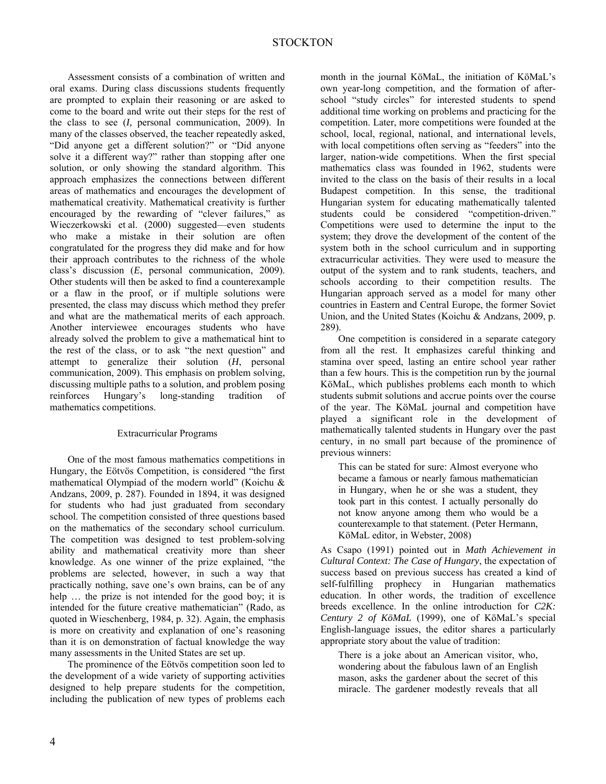Assessment consists of a combination of written and oral exams. During class discussions students frequently are prompted to explain their reasoning or are asked to come to the board and write out their steps for the rest of the class to see (*I,* personal communication, 2009). In many of the classes observed, the teacher repeatedly asked, "Did anyone get a different solution?" or "Did anyone solve it a different way?" rather than stopping after one solution, or only showing the standard algorithm. This approach emphasizes the connections between different areas of mathematics and encourages the development of mathematical creativity. Mathematical creativity is further encouraged by the rewarding of "clever failures," as Wieczerkowski et al. (2000) suggested—even students who make a mistake in their solution are often congratulated for the progress they did make and for how their approach contributes to the richness of the whole class's discussion (*E*, personal communication, 2009). Other students will then be asked to find a counterexample or a flaw in the proof, or if multiple solutions were presented, the class may discuss which method they prefer and what are the mathematical merits of each approach. Another interviewee encourages students who have already solved the problem to give a mathematical hint to the rest of the class, or to ask "the next question" and attempt to generalize their solution (*H*, personal communication, 2009). This emphasis on problem solving, discussing multiple paths to a solution, and problem posing reinforces Hungary's long-standing tradition of mathematics competitions.

#### Extracurricular Programs

One of the most famous mathematics competitions in Hungary, the Eötvös Competition, is considered "the first mathematical Olympiad of the modern world" (Koichu & Andzans, 2009, p. 287). Founded in 1894, it was designed for students who had just graduated from secondary school. The competition consisted of three questions based on the mathematics of the secondary school curriculum. The competition was designed to test problem-solving ability and mathematical creativity more than sheer knowledge. As one winner of the prize explained, "the problems are selected, however, in such a way that practically nothing, save one's own brains, can be of any help … the prize is not intended for the good boy; it is intended for the future creative mathematician" (Rado, as quoted in Wieschenberg, 1984, p. 32). Again, the emphasis is more on creativity and explanation of one's reasoning than it is on demonstration of factual knowledge the way many assessments in the United States are set up.

The prominence of the Eötvös competition soon led to the development of a wide variety of supporting activities designed to help prepare students for the competition, including the publication of new types of problems each

month in the journal KöMaL, the initiation of KöMaL's own year-long competition, and the formation of afterschool "study circles" for interested students to spend additional time working on problems and practicing for the competition. Later, more competitions were founded at the school, local, regional, national, and international levels, with local competitions often serving as "feeders" into the larger, nation-wide competitions. When the first special mathematics class was founded in 1962, students were invited to the class on the basis of their results in a local Budapest competition. In this sense, the traditional Hungarian system for educating mathematically talented students could be considered "competition-driven." Competitions were used to determine the input to the system; they drove the development of the content of the system both in the school curriculum and in supporting extracurricular activities. They were used to measure the output of the system and to rank students, teachers, and schools according to their competition results. The Hungarian approach served as a model for many other countries in Eastern and Central Europe, the former Soviet Union, and the United States (Koichu & Andzans, 2009, p. 289).

One competition is considered in a separate category from all the rest. It emphasizes careful thinking and stamina over speed, lasting an entire school year rather than a few hours. This is the competition run by the journal KöMaL, which publishes problems each month to which students submit solutions and accrue points over the course of the year. The KöMaL journal and competition have played a significant role in the development of mathematically talented students in Hungary over the past century, in no small part because of the prominence of previous winners:

This can be stated for sure: Almost everyone who became a famous or nearly famous mathematician in Hungary, when he or she was a student, they took part in this contest. I actually personally do not know anyone among them who would be a counterexample to that statement. (Peter Hermann, KöMaL editor, in Webster, 2008)

As Csapo (1991) pointed out in *Math Achievement in Cultural Context: The Case of Hungary*, the expectation of success based on previous success has created a kind of self-fulfilling prophecy in Hungarian mathematics education. In other words, the tradition of excellence breeds excellence. In the online introduction for *C2K: Century 2 of KöMaL* (1999), one of KöMaL's special English-language issues, the editor shares a particularly appropriate story about the value of tradition:

There is a joke about an American visitor, who, wondering about the fabulous lawn of an English mason, asks the gardener about the secret of this miracle. The gardener modestly reveals that all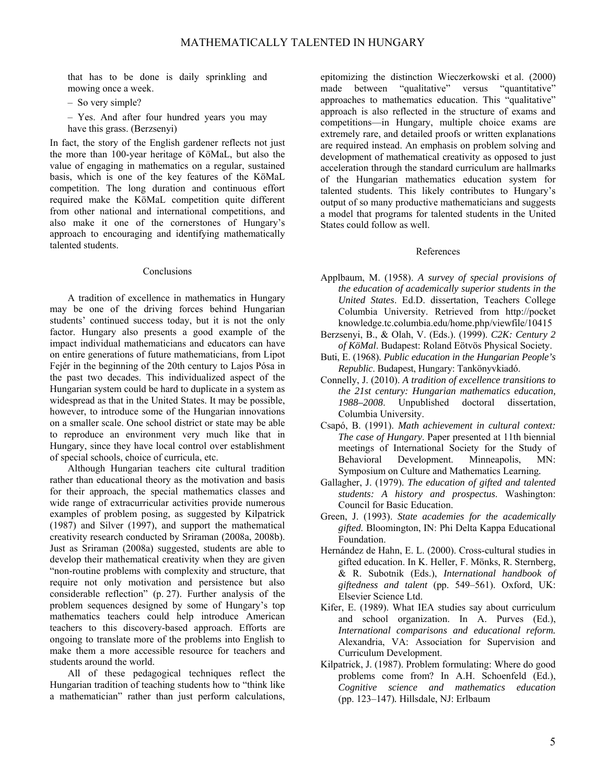that has to be done is daily sprinkling and mowing once a week.

- So very simple?
- Yes. And after four hundred years you may have this grass. (Berzsenyi)

In fact, the story of the English gardener reflects not just the more than 100-year heritage of KöMaL, but also the value of engaging in mathematics on a regular, sustained basis, which is one of the key features of the KöMaL competition. The long duration and continuous effort required make the KöMaL competition quite different from other national and international competitions, and also make it one of the cornerstones of Hungary's approach to encouraging and identifying mathematically talented students.

#### Conclusions

A tradition of excellence in mathematics in Hungary may be one of the driving forces behind Hungarian students' continued success today, but it is not the only factor. Hungary also presents a good example of the impact individual mathematicians and educators can have on entire generations of future mathematicians, from Lipot Fejér in the beginning of the 20th century to Lajos Pósa in the past two decades. This individualized aspect of the Hungarian system could be hard to duplicate in a system as widespread as that in the United States. It may be possible, however, to introduce some of the Hungarian innovations on a smaller scale. One school district or state may be able to reproduce an environment very much like that in Hungary, since they have local control over establishment of special schools, choice of curricula, etc.

Although Hungarian teachers cite cultural tradition rather than educational theory as the motivation and basis for their approach, the special mathematics classes and wide range of extracurricular activities provide numerous examples of problem posing, as suggested by Kilpatrick (1987) and Silver (1997), and support the mathematical creativity research conducted by Sriraman (2008a, 2008b). Just as Sriraman (2008a) suggested, students are able to develop their mathematical creativity when they are given "non-routine problems with complexity and structure, that require not only motivation and persistence but also considerable reflection" (p. 27). Further analysis of the problem sequences designed by some of Hungary's top mathematics teachers could help introduce American teachers to this discovery-based approach. Efforts are ongoing to translate more of the problems into English to make them a more accessible resource for teachers and students around the world.

All of these pedagogical techniques reflect the Hungarian tradition of teaching students how to "think like a mathematician" rather than just perform calculations, epitomizing the distinction Wieczerkowski et al. (2000) made between "qualitative" versus "quantitative" approaches to mathematics education. This "qualitative" approach is also reflected in the structure of exams and competitions—in Hungary, multiple choice exams are extremely rare, and detailed proofs or written explanations are required instead. An emphasis on problem solving and development of mathematical creativity as opposed to just acceleration through the standard curriculum are hallmarks of the Hungarian mathematics education system for talented students. This likely contributes to Hungary's output of so many productive mathematicians and suggests a model that programs for talented students in the United States could follow as well.

#### References

- Applbaum, M. (1958). *A survey of special provisions of the education of academically superior students in the United States*. Ed.D. dissertation, Teachers College Columbia University. Retrieved from http://pocket knowledge.tc.columbia.edu/home.php/viewfile/10415
- Berzsenyi, B., & Olah, V. (Eds.). (1999). *C2K: Century 2 of KöMal*. Budapest: Roland Eötvös Physical Society.
- Buti, E. (1968). *Public education in the Hungarian People's Republic*. Budapest, Hungary: Tankönyvkiadó.
- Connelly, J. (2010). *A tradition of excellence transitions to the 21st century: Hungarian mathematics education, 1988–2008*. Unpublished doctoral dissertation, Columbia University.
- Csapó, B. (1991). *Math achievement in cultural context: The case of Hungary*. Paper presented at 11th biennial meetings of International Society for the Study of Behavioral Development. Minneapolis, MN: Symposium on Culture and Mathematics Learning*.*
- Gallagher, J. (1979). *The education of gifted and talented students: A history and prospectus*. Washington: Council for Basic Education.
- Green, J. (1993). *State academies for the academically gifted.* Bloomington, IN: Phi Delta Kappa Educational Foundation.
- Hernández de Hahn, E. L. (2000). Cross-cultural studies in gifted education. In K. Heller, F. Mönks, R. Sternberg, & R. Subotnik (Eds.), *International handbook of giftedness and talent* (pp. 549–561). Oxford, UK: Elsevier Science Ltd.
- Kifer, E. (1989). What IEA studies say about curriculum and school organization. In A. Purves (Ed.), *International comparisons and educational reform.*  Alexandria, VA: Association for Supervision and Curriculum Development.
- Kilpatrick, J. (1987). Problem formulating: Where do good problems come from? In A.H. Schoenfeld (Ed.), *Cognitive science and mathematics education* (pp. 123–147)*.* Hillsdale, NJ: Erlbaum